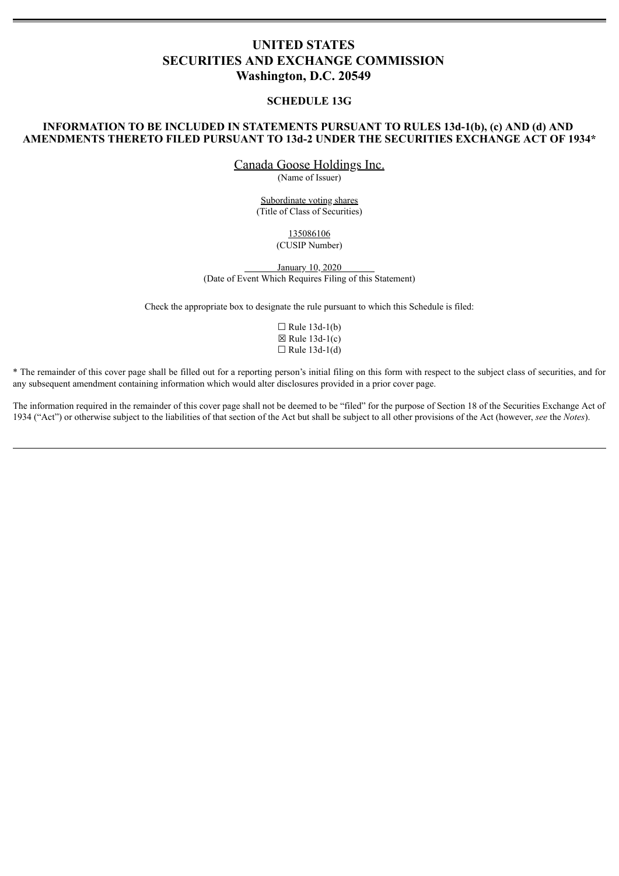# **UNITED STATES SECURITIES AND EXCHANGE COMMISSION Washington, D.C. 20549**

#### **SCHEDULE 13G**

### **INFORMATION TO BE INCLUDED IN STATEMENTS PURSUANT TO RULES 13d-1(b), (c) AND (d) AND AMENDMENTS THERETO FILED PURSUANT TO 13d-2 UNDER THE SECURITIES EXCHANGE ACT OF 1934\***

Canada Goose Holdings Inc.

(Name of Issuer)

Subordinate voting shares (Title of Class of Securities)

> 135086106 (CUSIP Number)

January 10, 2020 (Date of Event Which Requires Filing of this Statement)

Check the appropriate box to designate the rule pursuant to which this Schedule is filed:

|  | $\Box$ Rule 13d-1(b) |
|--|----------------------|
|  | $⊠$ Rule 13d-1(c)    |
|  | $\Box$ Rule 13d-1(d) |

\* The remainder of this cover page shall be filled out for a reporting person's initial filing on this form with respect to the subject class of securities, and for any subsequent amendment containing information which would alter disclosures provided in a prior cover page.

The information required in the remainder of this cover page shall not be deemed to be "filed" for the purpose of Section 18 of the Securities Exchange Act of 1934 ("Act") or otherwise subject to the liabilities of that section of the Act but shall be subject to all other provisions of the Act (however, *see* the *Notes*).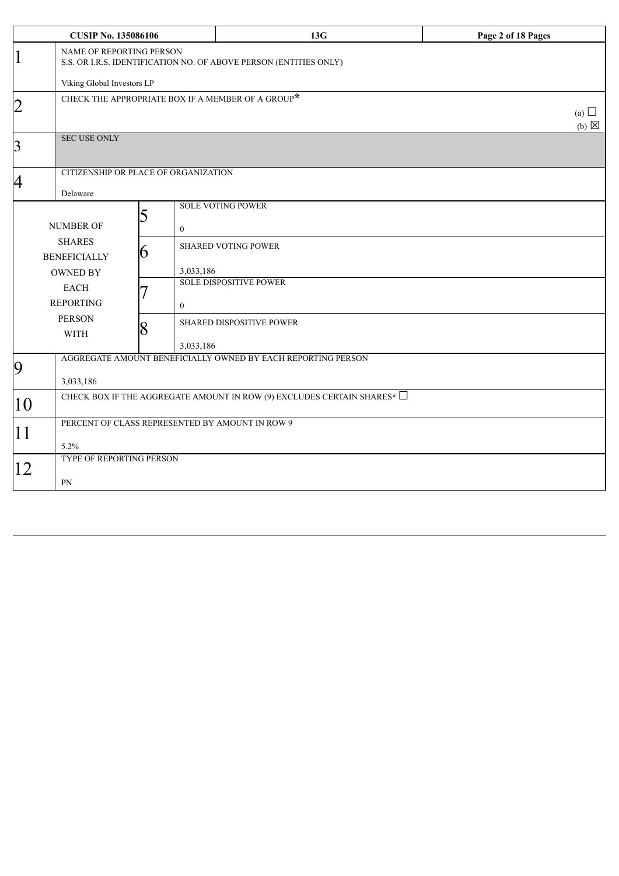|                | <b>CUSIP No. 135086106</b>                                                                           |                                                           | 13G                                                          | Page 2 of 18 Pages            |  |  |
|----------------|------------------------------------------------------------------------------------------------------|-----------------------------------------------------------|--------------------------------------------------------------|-------------------------------|--|--|
| $\vert 1$      | <b>NAME OF REPORTING PERSON</b><br>S.S. OR I.R.S. IDENTIFICATION NO. OF ABOVE PERSON (ENTITIES ONLY) |                                                           |                                                              |                               |  |  |
|                | Viking Global Investors LP                                                                           |                                                           |                                                              |                               |  |  |
| $\overline{2}$ |                                                                                                      | CHECK THE APPROPRIATE BOX IF A MEMBER OF A GROUP $^\star$ |                                                              | (a) $\Box$<br>$(b) \boxtimes$ |  |  |
| $\overline{3}$ | <b>SEC USE ONLY</b>                                                                                  |                                                           |                                                              |                               |  |  |
| 4              | Delaware                                                                                             | CITIZENSHIP OR PLACE OF ORGANIZATION                      |                                                              |                               |  |  |
|                | <b>NUMBER OF</b>                                                                                     | 5<br>$\overline{0}$                                       | <b>SOLE VOTING POWER</b>                                     |                               |  |  |
|                | <b>SHARES</b><br><b>BENEFICIALLY</b><br><b>OWNED BY</b>                                              | 6<br>3,033,186                                            | <b>SHARED VOTING POWER</b>                                   |                               |  |  |
|                | <b>EACH</b><br><b>REPORTING</b>                                                                      | $\mathbf{0}$                                              | <b>SOLE DISPOSITIVE POWER</b>                                |                               |  |  |
|                | <b>PERSON</b><br><b>WITH</b>                                                                         | 8<br>3,033,186                                            | <b>SHARED DISPOSITIVE POWER</b>                              |                               |  |  |
| 9              | 3,033,186                                                                                            |                                                           | AGGREGATE AMOUNT BENEFICIALLY OWNED BY EACH REPORTING PERSON |                               |  |  |
| 10             | CHECK BOX IF THE AGGREGATE AMOUNT IN ROW (9) EXCLUDES CERTAIN SHARES* $\Box$                         |                                                           |                                                              |                               |  |  |
| 11             | 5.2%                                                                                                 | PERCENT OF CLASS REPRESENTED BY AMOUNT IN ROW 9           |                                                              |                               |  |  |
| 12             | TYPE OF REPORTING PERSON<br>PN                                                                       |                                                           |                                                              |                               |  |  |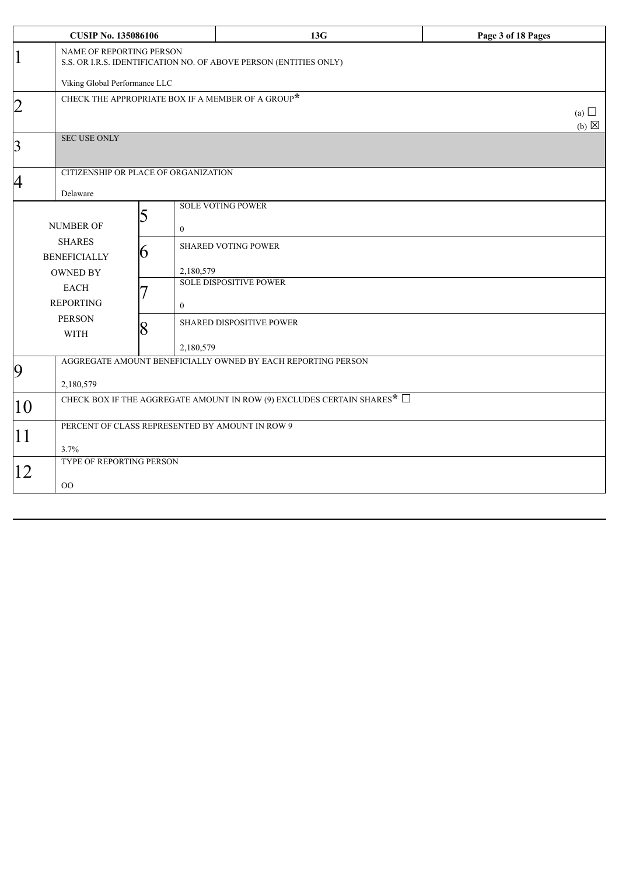| <b>CUSIP No. 135086106</b> |                                                                                               |                                                           | 13G                                                          | Page 3 of 18 Pages              |  |  |
|----------------------------|-----------------------------------------------------------------------------------------------|-----------------------------------------------------------|--------------------------------------------------------------|---------------------------------|--|--|
| $\mathbf 1$                | NAME OF REPORTING PERSON<br>S.S. OR I.R.S. IDENTIFICATION NO. OF ABOVE PERSON (ENTITIES ONLY) |                                                           |                                                              |                                 |  |  |
|                            | Viking Global Performance LLC                                                                 |                                                           |                                                              |                                 |  |  |
| $\overline{2}$             |                                                                                               | CHECK THE APPROPRIATE BOX IF A MEMBER OF A GROUP $^\star$ |                                                              | (a) $\Box$<br>$(b)$ $\boxtimes$ |  |  |
| $\overline{3}$             | <b>SEC USE ONLY</b>                                                                           |                                                           |                                                              |                                 |  |  |
| $\overline{A}$             | Delaware                                                                                      | CITIZENSHIP OR PLACE OF ORGANIZATION                      |                                                              |                                 |  |  |
|                            | <b>NUMBER OF</b>                                                                              | 5<br>$\boldsymbol{0}$                                     | <b>SOLE VOTING POWER</b>                                     |                                 |  |  |
|                            | <b>SHARES</b><br><b>BENEFICIALLY</b><br><b>OWNED BY</b>                                       | 6<br>2,180,579                                            | <b>SHARED VOTING POWER</b>                                   |                                 |  |  |
|                            | <b>EACH</b><br><b>REPORTING</b>                                                               | $\mathbf{0}$                                              | <b>SOLE DISPOSITIVE POWER</b>                                |                                 |  |  |
|                            | <b>PERSON</b><br><b>WITH</b>                                                                  | 8<br>2,180,579                                            | <b>SHARED DISPOSITIVE POWER</b>                              |                                 |  |  |
| 9                          | 2,180,579                                                                                     |                                                           | AGGREGATE AMOUNT BENEFICIALLY OWNED BY EACH REPORTING PERSON |                                 |  |  |
| 10                         | CHECK BOX IF THE AGGREGATE AMOUNT IN ROW (9) EXCLUDES CERTAIN SHARES* $\Box$                  |                                                           |                                                              |                                 |  |  |
| 11                         | PERCENT OF CLASS REPRESENTED BY AMOUNT IN ROW 9<br>3.7%                                       |                                                           |                                                              |                                 |  |  |
| 12                         | TYPE OF REPORTING PERSON<br>$\rm OO$                                                          |                                                           |                                                              |                                 |  |  |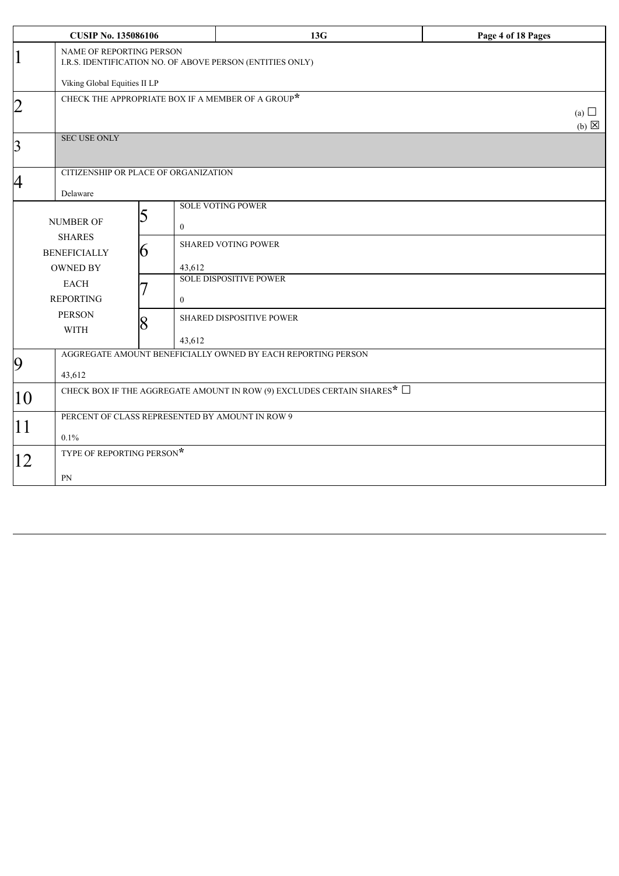| <b>CUSIP No. 135086106</b> |                                                                                          |                                                           | 13G                                                          | Page 4 of 18 Pages              |  |  |
|----------------------------|------------------------------------------------------------------------------------------|-----------------------------------------------------------|--------------------------------------------------------------|---------------------------------|--|--|
| 1                          | NAME OF REPORTING PERSON<br>I.R.S. IDENTIFICATION NO. OF ABOVE PERSON (ENTITIES ONLY)    |                                                           |                                                              |                                 |  |  |
|                            | Viking Global Equities II LP                                                             |                                                           |                                                              |                                 |  |  |
| $\overline{2}$             |                                                                                          | CHECK THE APPROPRIATE BOX IF A MEMBER OF A GROUP $^\star$ |                                                              | (a) $\Box$<br>$(b)$ $\boxtimes$ |  |  |
| $\overline{3}$             | <b>SEC USE ONLY</b>                                                                      |                                                           |                                                              |                                 |  |  |
| 4                          | Delaware                                                                                 | CITIZENSHIP OR PLACE OF ORGANIZATION                      |                                                              |                                 |  |  |
|                            | <b>NUMBER OF</b>                                                                         | 5<br>$\boldsymbol{0}$                                     | <b>SOLE VOTING POWER</b>                                     |                                 |  |  |
|                            | <b>SHARES</b><br><b>BENEFICIALLY</b><br><b>OWNED BY</b>                                  | 6<br>43,612                                               | <b>SHARED VOTING POWER</b>                                   |                                 |  |  |
|                            | <b>EACH</b><br><b>REPORTING</b>                                                          | $\mathbf{0}$                                              | <b>SOLE DISPOSITIVE POWER</b>                                |                                 |  |  |
|                            | <b>PERSON</b><br><b>WITH</b>                                                             | 8<br>43,612                                               | SHARED DISPOSITIVE POWER                                     |                                 |  |  |
| $\boldsymbol{9}$           | 43,612                                                                                   |                                                           | AGGREGATE AMOUNT BENEFICIALLY OWNED BY EACH REPORTING PERSON |                                 |  |  |
| 10                         | CHECK BOX IF THE AGGREGATE AMOUNT IN ROW (9) EXCLUDES CERTAIN SHARES <sup>*</sup> $\Box$ |                                                           |                                                              |                                 |  |  |
| 11                         | PERCENT OF CLASS REPRESENTED BY AMOUNT IN ROW 9<br>0.1%                                  |                                                           |                                                              |                                 |  |  |
| 12                         | TYPE OF REPORTING PERSON*                                                                |                                                           |                                                              |                                 |  |  |
|                            | PN                                                                                       |                                                           |                                                              |                                 |  |  |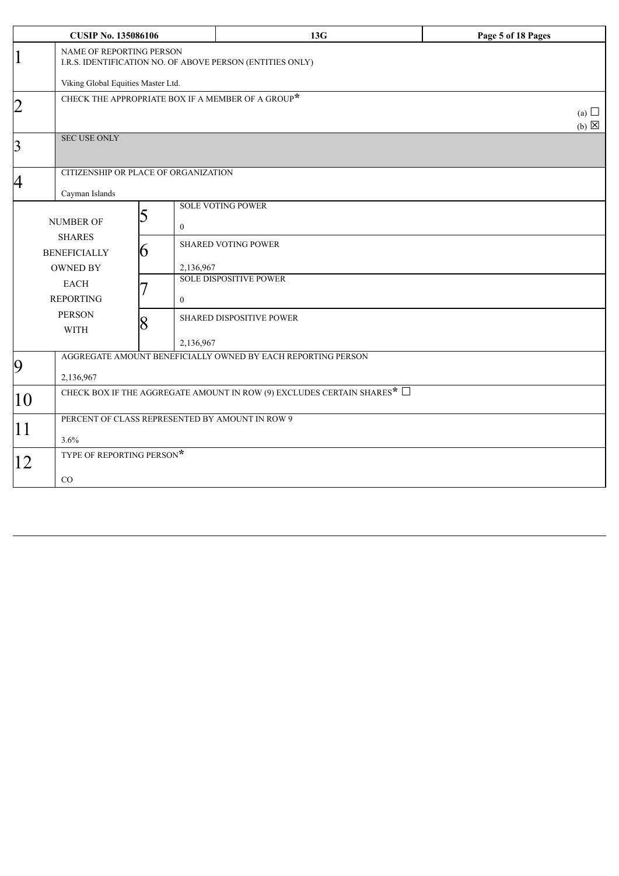|                | <b>CUSIP No. 135086106</b>                                                            |                                                           | 13G                                                          | Page 5 of 18 Pages              |  |  |
|----------------|---------------------------------------------------------------------------------------|-----------------------------------------------------------|--------------------------------------------------------------|---------------------------------|--|--|
| $\vert 1$      | NAME OF REPORTING PERSON<br>I.R.S. IDENTIFICATION NO. OF ABOVE PERSON (ENTITIES ONLY) |                                                           |                                                              |                                 |  |  |
|                | Viking Global Equities Master Ltd.                                                    |                                                           |                                                              |                                 |  |  |
| $\overline{2}$ |                                                                                       | CHECK THE APPROPRIATE BOX IF A MEMBER OF A GROUP $^\star$ |                                                              | (a) $\Box$<br>$(b)$ $\boxtimes$ |  |  |
| $\overline{3}$ | <b>SEC USE ONLY</b>                                                                   |                                                           |                                                              |                                 |  |  |
| 4              | Cayman Islands                                                                        | CITIZENSHIP OR PLACE OF ORGANIZATION                      |                                                              |                                 |  |  |
|                | <b>NUMBER OF</b>                                                                      | 5<br>$\bf{0}$                                             | <b>SOLE VOTING POWER</b>                                     |                                 |  |  |
|                | <b>SHARES</b><br><b>BENEFICIALLY</b><br><b>OWNED BY</b>                               | 6<br>2,136,967                                            | <b>SHARED VOTING POWER</b>                                   |                                 |  |  |
|                | <b>EACH</b><br><b>REPORTING</b>                                                       | $\theta$                                                  | <b>SOLE DISPOSITIVE POWER</b>                                |                                 |  |  |
|                | <b>PERSON</b><br><b>WITH</b>                                                          | 8<br>2,136,967                                            | SHARED DISPOSITIVE POWER                                     |                                 |  |  |
| 9              | 2,136,967                                                                             |                                                           | AGGREGATE AMOUNT BENEFICIALLY OWNED BY EACH REPORTING PERSON |                                 |  |  |
| 10             | CHECK BOX IF THE AGGREGATE AMOUNT IN ROW (9) EXCLUDES CERTAIN SHARES* $\Box$          |                                                           |                                                              |                                 |  |  |
| 11             | PERCENT OF CLASS REPRESENTED BY AMOUNT IN ROW 9<br>3.6%                               |                                                           |                                                              |                                 |  |  |
| 12             | TYPE OF REPORTING PERSON*<br>$\rm CO$                                                 |                                                           |                                                              |                                 |  |  |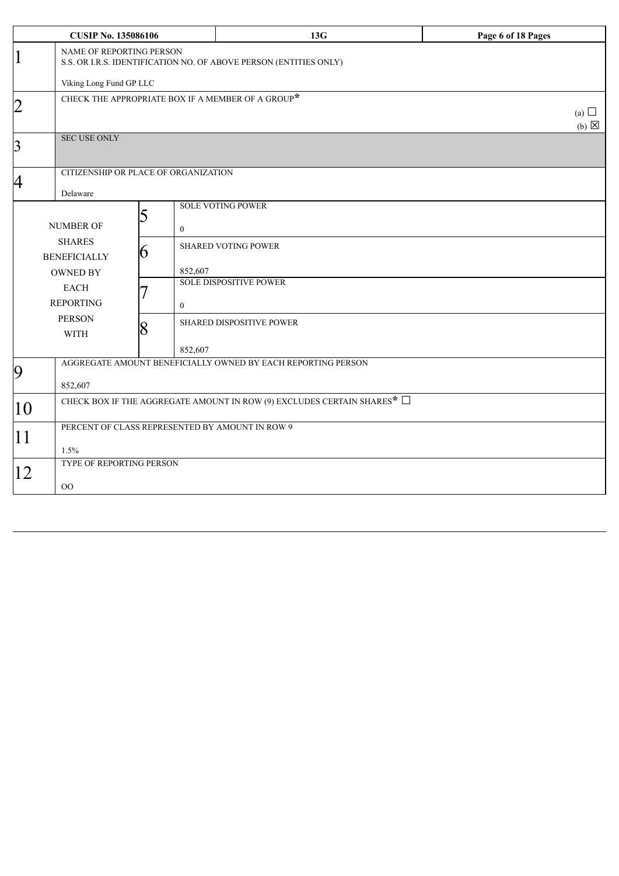|                         | <b>CUSIP No. 135086106</b>                                                                    |                                                           | 13G                                                          | Page 6 of 18 Pages            |  |  |
|-------------------------|-----------------------------------------------------------------------------------------------|-----------------------------------------------------------|--------------------------------------------------------------|-------------------------------|--|--|
| 1                       | NAME OF REPORTING PERSON<br>S.S. OR I.R.S. IDENTIFICATION NO. OF ABOVE PERSON (ENTITIES ONLY) |                                                           |                                                              |                               |  |  |
|                         | Viking Long Fund GP LLC                                                                       |                                                           |                                                              |                               |  |  |
| $ 2\>$                  |                                                                                               | CHECK THE APPROPRIATE BOX IF A MEMBER OF A GROUP $^\star$ |                                                              | (a) $\Box$<br>$(b) \boxtimes$ |  |  |
| $\overline{\mathbf{3}}$ | <b>SEC USE ONLY</b>                                                                           |                                                           |                                                              |                               |  |  |
| 4                       | Delaware                                                                                      | CITIZENSHIP OR PLACE OF ORGANIZATION                      |                                                              |                               |  |  |
|                         | <b>NUMBER OF</b>                                                                              | 5<br>$\mathbf{0}$                                         | <b>SOLE VOTING POWER</b>                                     |                               |  |  |
|                         | <b>SHARES</b><br><b>BENEFICIALLY</b><br><b>OWNED BY</b>                                       | 6<br>852,607                                              | <b>SHARED VOTING POWER</b>                                   |                               |  |  |
|                         | <b>EACH</b><br><b>REPORTING</b>                                                               | $\mathbf{0}$                                              | <b>SOLE DISPOSITIVE POWER</b>                                |                               |  |  |
|                         | <b>PERSON</b><br><b>WITH</b>                                                                  | 8<br>852,607                                              | SHARED DISPOSITIVE POWER                                     |                               |  |  |
| 9                       | 852,607                                                                                       |                                                           | AGGREGATE AMOUNT BENEFICIALLY OWNED BY EACH REPORTING PERSON |                               |  |  |
| 10                      | CHECK BOX IF THE AGGREGATE AMOUNT IN ROW (9) EXCLUDES CERTAIN SHARES* $\Box$                  |                                                           |                                                              |                               |  |  |
| 11                      | PERCENT OF CLASS REPRESENTED BY AMOUNT IN ROW 9<br>1.5%                                       |                                                           |                                                              |                               |  |  |
| 12                      | TYPE OF REPORTING PERSON<br>$00\,$                                                            |                                                           |                                                              |                               |  |  |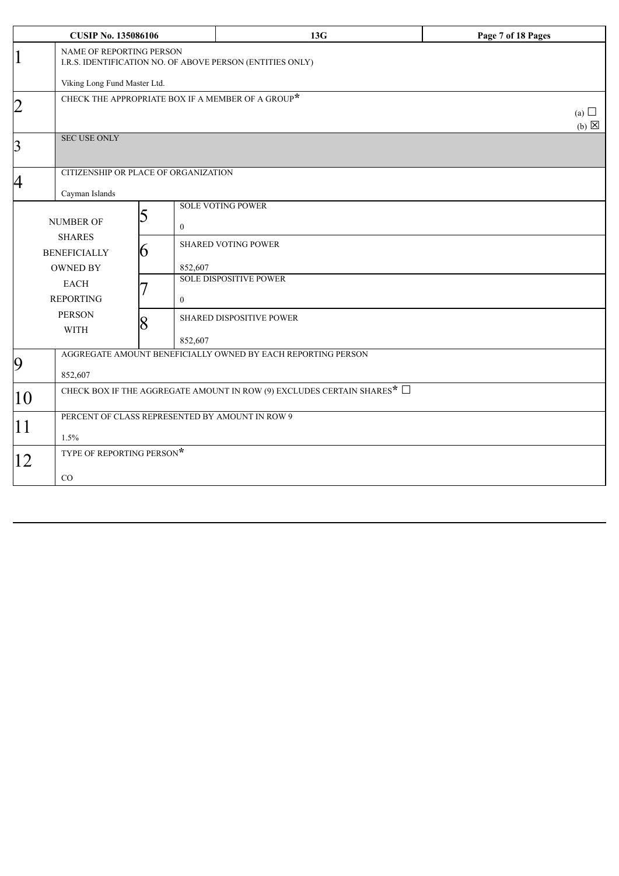| <b>CUSIP No. 135086106</b> |                                                                                          |                                                           | 13G                                                          | Page 7 of 18 Pages            |  |  |
|----------------------------|------------------------------------------------------------------------------------------|-----------------------------------------------------------|--------------------------------------------------------------|-------------------------------|--|--|
| 1                          | NAME OF REPORTING PERSON<br>I.R.S. IDENTIFICATION NO. OF ABOVE PERSON (ENTITIES ONLY)    |                                                           |                                                              |                               |  |  |
|                            | Viking Long Fund Master Ltd.                                                             |                                                           |                                                              |                               |  |  |
| $\overline{2}$             |                                                                                          | CHECK THE APPROPRIATE BOX IF A MEMBER OF A GROUP $^\star$ |                                                              | (a) $\Box$<br>$(b) \boxtimes$ |  |  |
| $\overline{3}$             | <b>SEC USE ONLY</b>                                                                      |                                                           |                                                              |                               |  |  |
| 4                          | Cayman Islands                                                                           | CITIZENSHIP OR PLACE OF ORGANIZATION                      |                                                              |                               |  |  |
|                            | NUMBER OF                                                                                | 5<br>$\mathbf{0}$                                         | <b>SOLE VOTING POWER</b>                                     |                               |  |  |
|                            | <b>SHARES</b><br><b>BENEFICIALLY</b><br><b>OWNED BY</b>                                  | 6<br>852,607                                              | <b>SHARED VOTING POWER</b>                                   |                               |  |  |
|                            | <b>EACH</b><br><b>REPORTING</b>                                                          | $\mathbf{0}$                                              | <b>SOLE DISPOSITIVE POWER</b>                                |                               |  |  |
|                            | <b>PERSON</b><br><b>WITH</b>                                                             | 8<br>852,607                                              | SHARED DISPOSITIVE POWER                                     |                               |  |  |
| 9                          | 852,607                                                                                  |                                                           | AGGREGATE AMOUNT BENEFICIALLY OWNED BY EACH REPORTING PERSON |                               |  |  |
| 10                         | CHECK BOX IF THE AGGREGATE AMOUNT IN ROW (9) EXCLUDES CERTAIN SHARES <sup>*</sup> $\Box$ |                                                           |                                                              |                               |  |  |
| 11                         | PERCENT OF CLASS REPRESENTED BY AMOUNT IN ROW 9<br>1.5%                                  |                                                           |                                                              |                               |  |  |
| 12                         | TYPE OF REPORTING PERSON*<br>CO                                                          |                                                           |                                                              |                               |  |  |
|                            |                                                                                          |                                                           |                                                              |                               |  |  |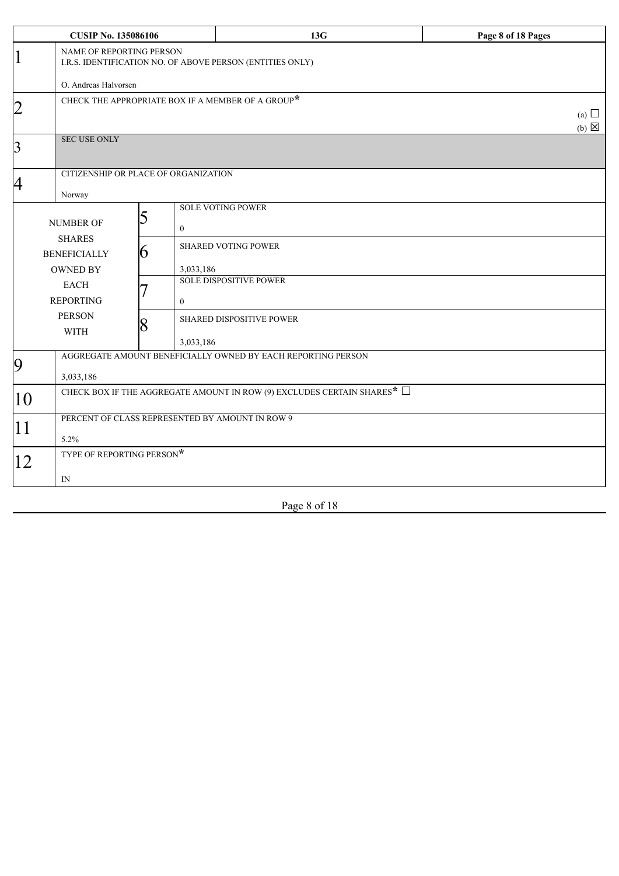| <b>CUSIP No. 135086106</b> |                                                                                       |                                                           | 13G                           | Page 8 of 18 Pages            |  |  |
|----------------------------|---------------------------------------------------------------------------------------|-----------------------------------------------------------|-------------------------------|-------------------------------|--|--|
| $\overline{1}$             | NAME OF REPORTING PERSON<br>I.R.S. IDENTIFICATION NO. OF ABOVE PERSON (ENTITIES ONLY) |                                                           |                               |                               |  |  |
|                            | O. Andreas Halvorsen                                                                  |                                                           |                               |                               |  |  |
| $\overline{2}$             |                                                                                       | CHECK THE APPROPRIATE BOX IF A MEMBER OF A GROUP $^\star$ |                               | (a) $\Box$<br>$(b) \boxtimes$ |  |  |
| $\overline{3}$             | <b>SEC USE ONLY</b>                                                                   |                                                           |                               |                               |  |  |
| $\overline{A}$             | Norway                                                                                | CITIZENSHIP OR PLACE OF ORGANIZATION                      |                               |                               |  |  |
|                            | <b>NUMBER OF</b><br><b>SHARES</b>                                                     | 5<br>$\mathbf{0}$                                         | <b>SOLE VOTING POWER</b>      |                               |  |  |
|                            | <b>BENEFICIALLY</b><br><b>OWNED BY</b>                                                | 6<br>3,033,186                                            | <b>SHARED VOTING POWER</b>    |                               |  |  |
|                            | <b>EACH</b><br><b>REPORTING</b>                                                       | $\mathbf{0}$                                              | <b>SOLE DISPOSITIVE POWER</b> |                               |  |  |
|                            | <b>PERSON</b><br><b>WITH</b>                                                          | 8<br>3,033,186                                            | SHARED DISPOSITIVE POWER      |                               |  |  |
| 9                          | AGGREGATE AMOUNT BENEFICIALLY OWNED BY EACH REPORTING PERSON<br>3,033,186             |                                                           |                               |                               |  |  |
| 10                         | CHECK BOX IF THE AGGREGATE AMOUNT IN ROW (9) EXCLUDES CERTAIN SHARES* $\Box$          |                                                           |                               |                               |  |  |
| 11                         | PERCENT OF CLASS REPRESENTED BY AMOUNT IN ROW 9<br>5.2%                               |                                                           |                               |                               |  |  |
| 12                         | TYPE OF REPORTING PERSON*                                                             |                                                           |                               |                               |  |  |
|                            | IN                                                                                    |                                                           |                               |                               |  |  |

Page 8 of 18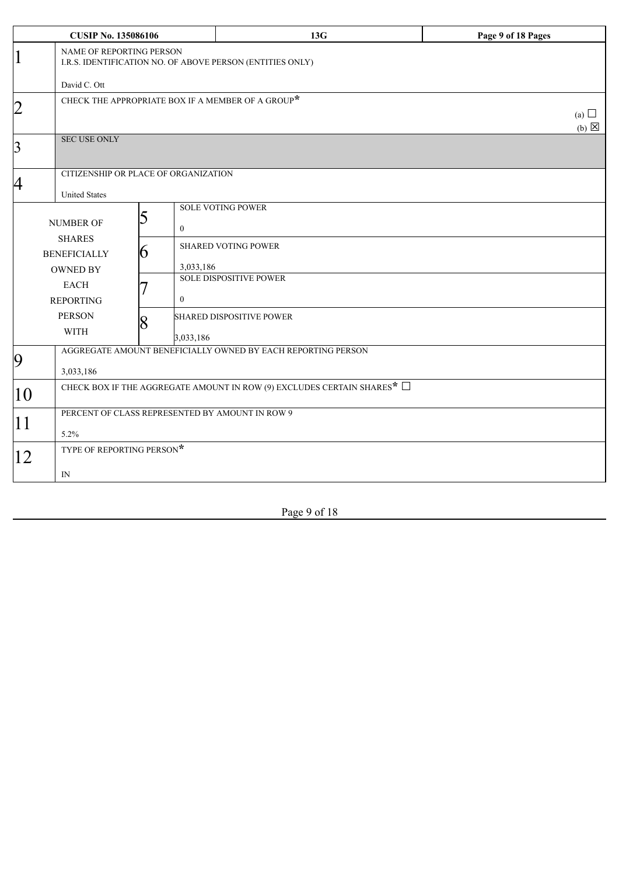|                         | <b>CUSIP No. 135086106</b>                                                            |                                                           | 13G                                                          | Page 9 of 18 Pages            |  |  |
|-------------------------|---------------------------------------------------------------------------------------|-----------------------------------------------------------|--------------------------------------------------------------|-------------------------------|--|--|
| $\vert 1$               | NAME OF REPORTING PERSON<br>I.R.S. IDENTIFICATION NO. OF ABOVE PERSON (ENTITIES ONLY) |                                                           |                                                              |                               |  |  |
|                         | David C. Ott                                                                          |                                                           |                                                              |                               |  |  |
| $\overline{2}$          |                                                                                       | CHECK THE APPROPRIATE BOX IF A MEMBER OF A GROUP $^\star$ |                                                              | (a) $\Box$<br>(b) $\boxtimes$ |  |  |
| $\overline{\mathbf{3}}$ | <b>SEC USE ONLY</b>                                                                   |                                                           |                                                              |                               |  |  |
| 4                       |                                                                                       | CITIZENSHIP OR PLACE OF ORGANIZATION                      |                                                              |                               |  |  |
|                         | <b>United States</b>                                                                  |                                                           |                                                              |                               |  |  |
|                         | NUMBER OF                                                                             | 5<br>$\mathbf{0}$                                         | <b>SOLE VOTING POWER</b>                                     |                               |  |  |
|                         | <b>SHARES</b><br><b>BENEFICIALLY</b>                                                  | b                                                         | <b>SHARED VOTING POWER</b>                                   |                               |  |  |
|                         | <b>OWNED BY</b>                                                                       | 3,033,186                                                 |                                                              |                               |  |  |
|                         | <b>EACH</b>                                                                           |                                                           | <b>SOLE DISPOSITIVE POWER</b>                                |                               |  |  |
|                         | <b>REPORTING</b>                                                                      | $\theta$                                                  |                                                              |                               |  |  |
|                         | <b>PERSON</b><br><b>WITH</b>                                                          | 8<br>3,033,186                                            | <b>SHARED DISPOSITIVE POWER</b>                              |                               |  |  |
|                         |                                                                                       |                                                           | AGGREGATE AMOUNT BENEFICIALLY OWNED BY EACH REPORTING PERSON |                               |  |  |
| 9                       | 3,033,186                                                                             |                                                           |                                                              |                               |  |  |
| $ 10\rangle$            | CHECK BOX IF THE AGGREGATE AMOUNT IN ROW (9) EXCLUDES CERTAIN SHARES* $\Box$          |                                                           |                                                              |                               |  |  |
| 11                      | PERCENT OF CLASS REPRESENTED BY AMOUNT IN ROW 9<br>5.2%                               |                                                           |                                                              |                               |  |  |
| 12                      | TYPE OF REPORTING PERSON*                                                             |                                                           |                                                              |                               |  |  |
|                         | $_{\rm IN}$                                                                           |                                                           |                                                              |                               |  |  |

Page 9 of 18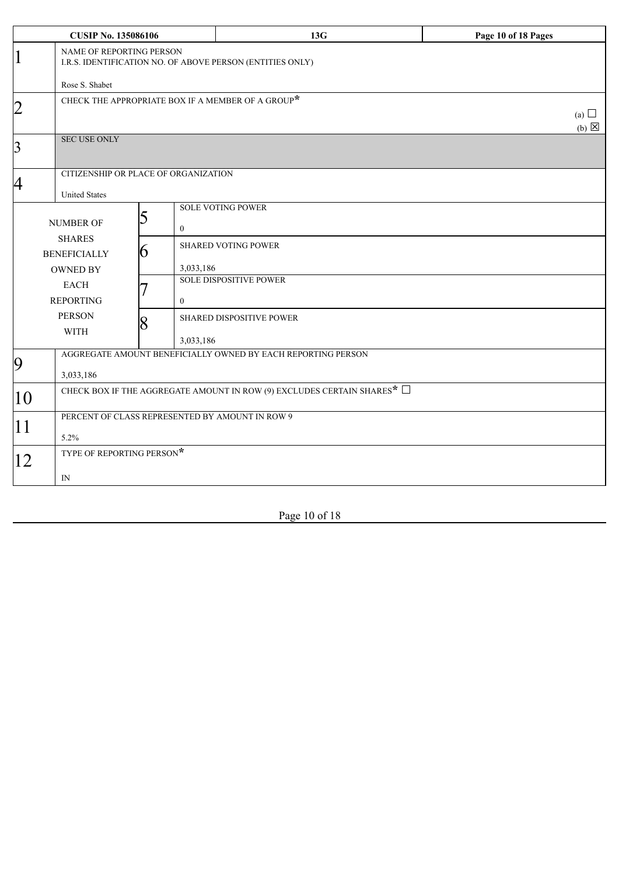|                         | <b>CUSIP No. 135086106</b>                                                            |                                                           | 13G                                                          | Page 10 of 18 Pages           |  |  |
|-------------------------|---------------------------------------------------------------------------------------|-----------------------------------------------------------|--------------------------------------------------------------|-------------------------------|--|--|
| $\vert 1$               | NAME OF REPORTING PERSON<br>I.R.S. IDENTIFICATION NO. OF ABOVE PERSON (ENTITIES ONLY) |                                                           |                                                              |                               |  |  |
|                         | Rose S. Shabet                                                                        | CHECK THE APPROPRIATE BOX IF A MEMBER OF A GROUP $^\star$ |                                                              |                               |  |  |
| $\overline{2}$          |                                                                                       |                                                           |                                                              | (a) $\Box$<br>$(b) \boxtimes$ |  |  |
| $\overline{\mathbf{3}}$ | <b>SEC USE ONLY</b>                                                                   |                                                           |                                                              |                               |  |  |
|                         |                                                                                       | CITIZENSHIP OR PLACE OF ORGANIZATION                      |                                                              |                               |  |  |
| 4                       | <b>United States</b>                                                                  |                                                           |                                                              |                               |  |  |
|                         | <b>NUMBER OF</b><br><b>SHARES</b>                                                     | 5<br>$\overline{0}$                                       | <b>SOLE VOTING POWER</b>                                     |                               |  |  |
|                         | <b>BENEFICIALLY</b>                                                                   | 6                                                         | <b>SHARED VOTING POWER</b>                                   |                               |  |  |
|                         | <b>OWNED BY</b>                                                                       | 3,033,186                                                 |                                                              |                               |  |  |
|                         | <b>EACH</b>                                                                           |                                                           | <b>SOLE DISPOSITIVE POWER</b>                                |                               |  |  |
|                         | <b>REPORTING</b>                                                                      | $\overline{0}$                                            |                                                              |                               |  |  |
|                         | <b>PERSON</b><br><b>WITH</b>                                                          | $\overline{8}$<br>3,033,186                               | SHARED DISPOSITIVE POWER                                     |                               |  |  |
|                         |                                                                                       |                                                           | AGGREGATE AMOUNT BENEFICIALLY OWNED BY EACH REPORTING PERSON |                               |  |  |
| 9                       | 3,033,186                                                                             |                                                           |                                                              |                               |  |  |
| $ 10\rangle$            | CHECK BOX IF THE AGGREGATE AMOUNT IN ROW (9) EXCLUDES CERTAIN SHARES* $\Box$          |                                                           |                                                              |                               |  |  |
|                         | PERCENT OF CLASS REPRESENTED BY AMOUNT IN ROW 9                                       |                                                           |                                                              |                               |  |  |
| 11                      | 5.2%                                                                                  |                                                           |                                                              |                               |  |  |
|                         | TYPE OF REPORTING PERSON*                                                             |                                                           |                                                              |                               |  |  |
| 12                      |                                                                                       |                                                           |                                                              |                               |  |  |
|                         | IN                                                                                    |                                                           |                                                              |                               |  |  |

Page 10 of 18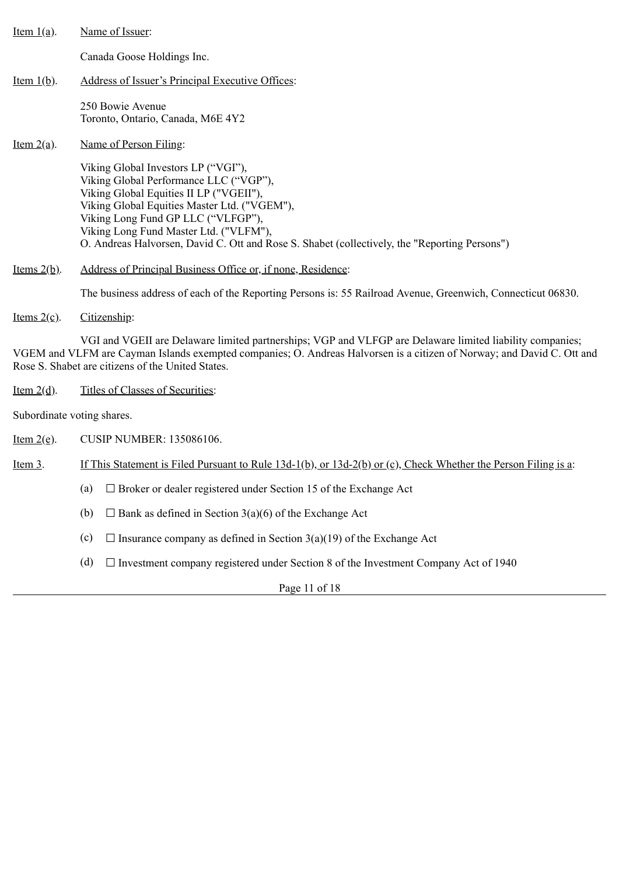| <u>Item <math>1(a)</math></u> . | Name of Issuer:                                                                                                                                                                                                                                                                                                                                           |
|---------------------------------|-----------------------------------------------------------------------------------------------------------------------------------------------------------------------------------------------------------------------------------------------------------------------------------------------------------------------------------------------------------|
|                                 | Canada Goose Holdings Inc.                                                                                                                                                                                                                                                                                                                                |
| <u>Item <math>1(b)</math></u> . | <u>Address of Issuer's Principal Executive Offices:</u>                                                                                                                                                                                                                                                                                                   |
|                                 | 250 Bowie Avenue<br>Toronto, Ontario, Canada, M6E 4Y2                                                                                                                                                                                                                                                                                                     |
| <u>Item <math>2(a)</math>.</u>  | Name of Person Filing:                                                                                                                                                                                                                                                                                                                                    |
|                                 | Viking Global Investors LP ("VGI"),<br>Viking Global Performance LLC ("VGP"),<br>Viking Global Equities II LP ("VGEII"),<br>Viking Global Equities Master Ltd. ("VGEM"),<br>Viking Long Fund GP LLC ("VLFGP"),<br>Viking Long Fund Master Ltd. ("VLFM"),<br>O. Andreas Halvorsen, David C. Ott and Rose S. Shabet (collectively, the "Reporting Persons") |
| Items $2(b)$ .                  | Address of Principal Business Office or, if none, Residence:                                                                                                                                                                                                                                                                                              |
|                                 | The business address of each of the Reporting Persons is: 55 Railroad Avenue, Greenwich, Connecticut 06830.                                                                                                                                                                                                                                               |
| <u>Items <math>2(c)</math>.</u> | Citizenship:                                                                                                                                                                                                                                                                                                                                              |

VGI and VGEII are Delaware limited partnerships; VGP and VLFGP are Delaware limited liability companies; VGEM and VLFM are Cayman Islands exempted companies; O. Andreas Halvorsen is a citizen of Norway; and David C. Ott and Rose S. Shabet are citizens of the United States.

Item 2(d). Titles of Classes of Securities:

Subordinate voting shares.

Item 2(e). CUSIP NUMBER: 135086106.

Item 3. If This Statement is Filed Pursuant to Rule 13d-1(b), or 13d-2(b) or (c), Check Whether the Person Filing is a:

- (a)  $\Box$  Broker or dealer registered under Section 15 of the Exchange Act
- (b)  $\Box$  Bank as defined in Section 3(a)(6) of the Exchange Act
- (c)  $\Box$  Insurance company as defined in Section 3(a)(19) of the Exchange Act
- (d)  $\Box$  Investment company registered under Section 8 of the Investment Company Act of 1940

Page 11 of 18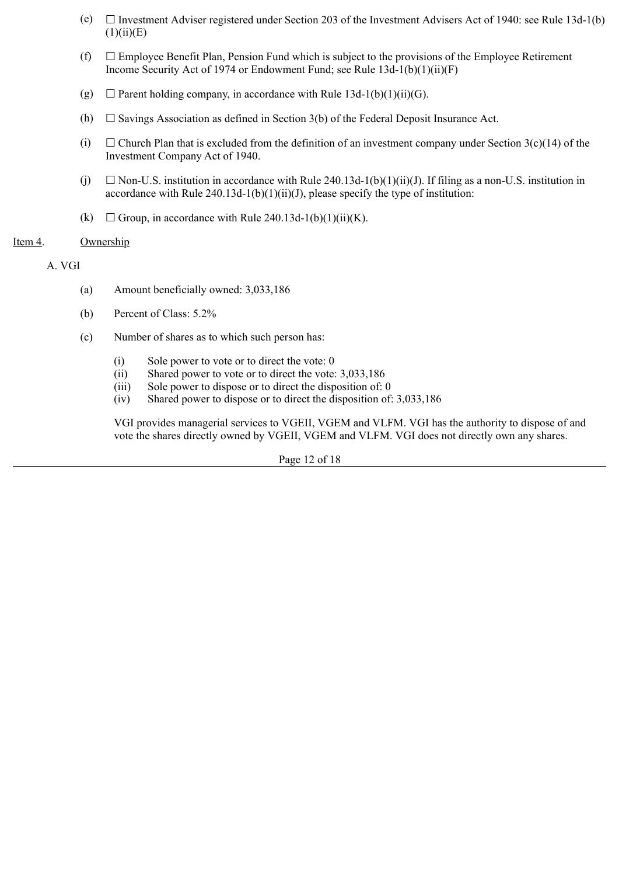- (e) ☐ Investment Adviser registered under Section 203 of the Investment Advisers Act of 1940: see Rule 13d-1(b)  $(1)(ii)(E)$
- (f)  $\Box$  Employee Benefit Plan, Pension Fund which is subject to the provisions of the Employee Retirement Income Security Act of 1974 or Endowment Fund; see Rule 13d-1(b)(1)(ii)(F)
- (g)  $\Box$  Parent holding company, in accordance with Rule 13d-1(b)(1)(ii)(G).
- (h)  $\Box$  Savings Association as defined in Section 3(b) of the Federal Deposit Insurance Act.
- (i)  $\Box$  Church Plan that is excluded from the definition of an investment company under Section 3(c)(14) of the Investment Company Act of 1940.
- (i)  $\Box$  Non-U.S. institution in accordance with Rule 240.13d-1(b)(1)(ii)(J). If filing as a non-U.S. institution in accordance with Rule  $240.13d-1(b)(1)(ii)(J)$ , please specify the type of institution:
- (k)  $\Box$  Group, in accordance with Rule 240.13d-1(b)(1)(ii)(K).

### Item 4. Ownership

# A. VGI

- (a) Amount beneficially owned: 3,033,186
- (b) Percent of Class: 5.2%
- (c) Number of shares as to which such person has:
	- (i) Sole power to vote or to direct the vote: 0
	- (ii) Shared power to vote or to direct the vote: 3,033,186
	- (iii) Sole power to dispose or to direct the disposition of: 0
	- (iv) Shared power to dispose or to direct the disposition of: 3,033,186

VGI provides managerial services to VGEII, VGEM and VLFM. VGI has the authority to dispose of and vote the shares directly owned by VGEII, VGEM and VLFM. VGI does not directly own any shares.

Page 12 of 18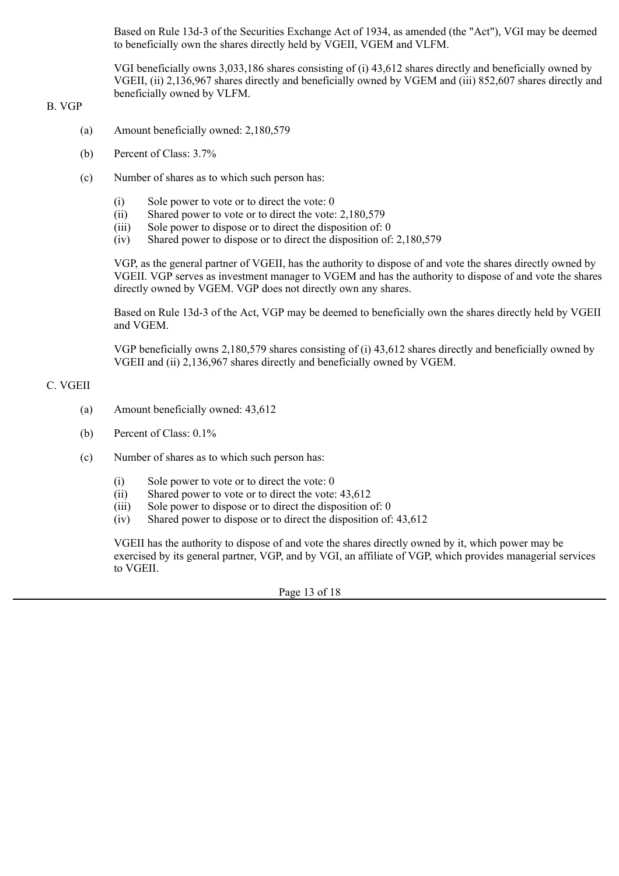Based on Rule 13d-3 of the Securities Exchange Act of 1934, as amended (the "Act"), VGI may be deemed to beneficially own the shares directly held by VGEII, VGEM and VLFM.

VGI beneficially owns 3,033,186 shares consisting of (i) 43,612 shares directly and beneficially owned by VGEII, (ii) 2,136,967 shares directly and beneficially owned by VGEM and (iii) 852,607 shares directly and beneficially owned by VLFM.

### B. VGP

- (a) Amount beneficially owned: 2,180,579
- (b) Percent of Class: 3.7%
- (c) Number of shares as to which such person has:
	- (i) Sole power to vote or to direct the vote: 0
	- (ii) Shared power to vote or to direct the vote: 2,180,579
	- (iii) Sole power to dispose or to direct the disposition of: 0
	- (iv) Shared power to dispose or to direct the disposition of: 2,180,579

VGP, as the general partner of VGEII, has the authority to dispose of and vote the shares directly owned by VGEII. VGP serves as investment manager to VGEM and has the authority to dispose of and vote the shares directly owned by VGEM. VGP does not directly own any shares.

Based on Rule 13d-3 of the Act, VGP may be deemed to beneficially own the shares directly held by VGEII and VGEM.

VGP beneficially owns 2,180,579 shares consisting of (i) 43,612 shares directly and beneficially owned by VGEII and (ii) 2,136,967 shares directly and beneficially owned by VGEM.

# C. VGEII

- (a) Amount beneficially owned: 43,612
- (b) Percent of Class: 0.1%
- (c) Number of shares as to which such person has:
	- (i) Sole power to vote or to direct the vote: 0
	- (ii) Shared power to vote or to direct the vote: 43,612
	- (iii) Sole power to dispose or to direct the disposition of: 0
	- (iv) Shared power to dispose or to direct the disposition of: 43,612

VGEII has the authority to dispose of and vote the shares directly owned by it, which power may be exercised by its general partner, VGP, and by VGI, an affiliate of VGP, which provides managerial services to VGEII.

Page 13 of 18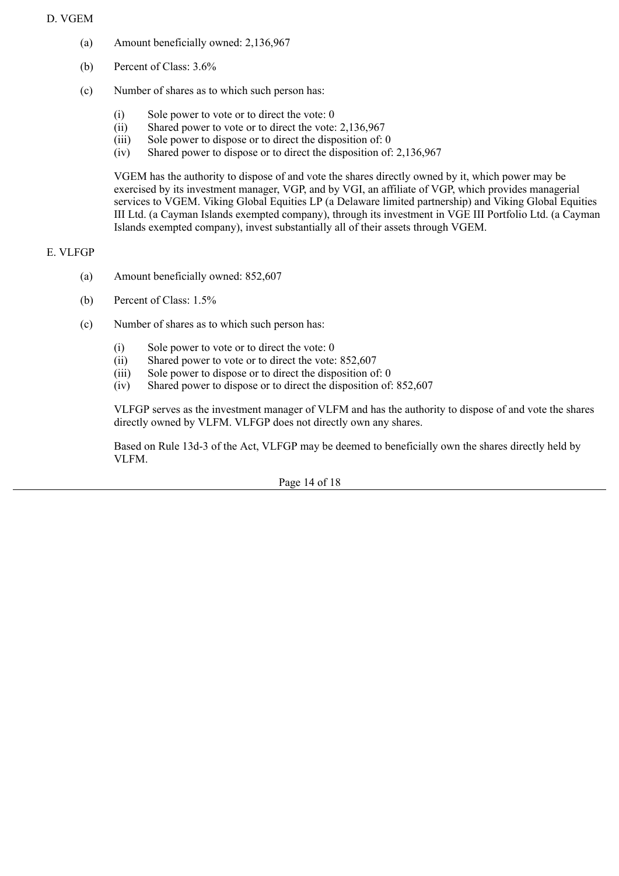# D. VGEM

- (a) Amount beneficially owned: 2,136,967
- (b) Percent of Class: 3.6%
- (c) Number of shares as to which such person has:
	- (i) Sole power to vote or to direct the vote: 0
	- (ii) Shared power to vote or to direct the vote: 2,136,967
	- (iii) Sole power to dispose or to direct the disposition of: 0
	- (iv) Shared power to dispose or to direct the disposition of: 2,136,967

VGEM has the authority to dispose of and vote the shares directly owned by it, which power may be exercised by its investment manager, VGP, and by VGI, an affiliate of VGP, which provides managerial services to VGEM. Viking Global Equities LP (a Delaware limited partnership) and Viking Global Equities III Ltd. (a Cayman Islands exempted company), through its investment in VGE III Portfolio Ltd. (a Cayman Islands exempted company), invest substantially all of their assets through VGEM.

# E. VLFGP

- (a) Amount beneficially owned: 852,607
- (b) Percent of Class: 1.5%
- (c) Number of shares as to which such person has:
	- (i) Sole power to vote or to direct the vote: 0
	- (ii) Shared power to vote or to direct the vote: 852,607
	- (iii) Sole power to dispose or to direct the disposition of: 0
	- (iv) Shared power to dispose or to direct the disposition of: 852,607

VLFGP serves as the investment manager of VLFM and has the authority to dispose of and vote the shares directly owned by VLFM. VLFGP does not directly own any shares.

Based on Rule 13d-3 of the Act, VLFGP may be deemed to beneficially own the shares directly held by VLFM.

Page 14 of 18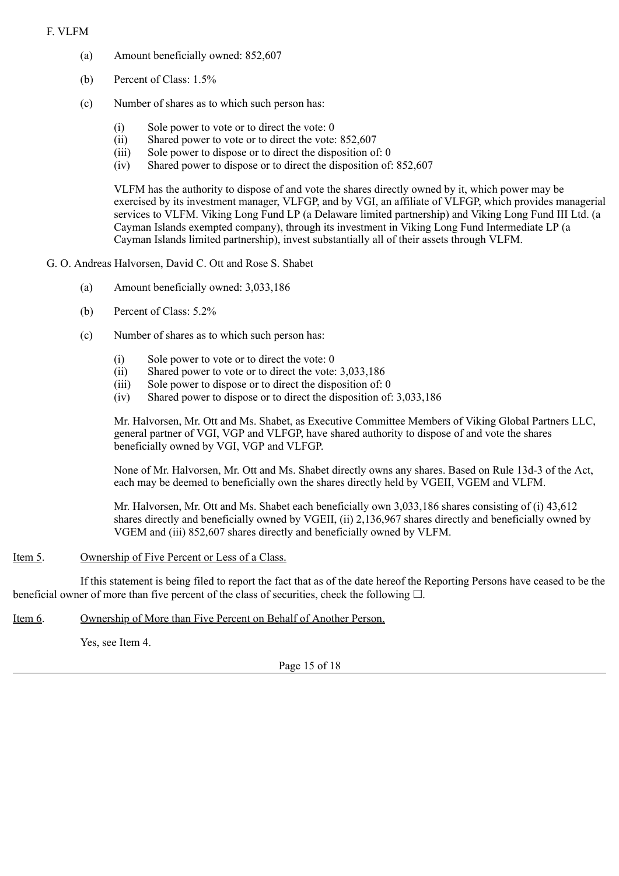# F. VLFM

- (a) Amount beneficially owned: 852,607
- (b) Percent of Class: 1.5%
- (c) Number of shares as to which such person has:
	- (i) Sole power to vote or to direct the vote: 0
	- (ii) Shared power to vote or to direct the vote: 852,607
	- (iii) Sole power to dispose or to direct the disposition of: 0
	- (iv) Shared power to dispose or to direct the disposition of: 852,607

VLFM has the authority to dispose of and vote the shares directly owned by it, which power may be exercised by its investment manager, VLFGP, and by VGI, an affiliate of VLFGP, which provides managerial services to VLFM. Viking Long Fund LP (a Delaware limited partnership) and Viking Long Fund III Ltd. (a Cayman Islands exempted company), through its investment in Viking Long Fund Intermediate LP (a Cayman Islands limited partnership), invest substantially all of their assets through VLFM.

# G. O. Andreas Halvorsen, David C. Ott and Rose S. Shabet

- (a) Amount beneficially owned: 3,033,186
- (b) Percent of Class: 5.2%
- (c) Number of shares as to which such person has:
	- (i) Sole power to vote or to direct the vote: 0
	- (ii) Shared power to vote or to direct the vote: 3,033,186
	- (iii) Sole power to dispose or to direct the disposition of: 0
	- (iv) Shared power to dispose or to direct the disposition of: 3,033,186

Mr. Halvorsen, Mr. Ott and Ms. Shabet, as Executive Committee Members of Viking Global Partners LLC, general partner of VGI, VGP and VLFGP, have shared authority to dispose of and vote the shares beneficially owned by VGI, VGP and VLFGP.

None of Mr. Halvorsen, Mr. Ott and Ms. Shabet directly owns any shares. Based on Rule 13d-3 of the Act, each may be deemed to beneficially own the shares directly held by VGEII, VGEM and VLFM.

Mr. Halvorsen, Mr. Ott and Ms. Shabet each beneficially own 3,033,186 shares consisting of (i) 43,612 shares directly and beneficially owned by VGEII, (ii) 2,136,967 shares directly and beneficially owned by VGEM and (iii) 852,607 shares directly and beneficially owned by VLFM.

### Item 5. Ownership of Five Percent or Less of a Class.

If this statement is being filed to report the fact that as of the date hereof the Reporting Persons have ceased to be the beneficial owner of more than five percent of the class of securities, check the following  $\Box$ .

Item 6. Ownership of More than Five Percent on Behalf of Another Person.

Yes, see Item 4.

Page 15 of 18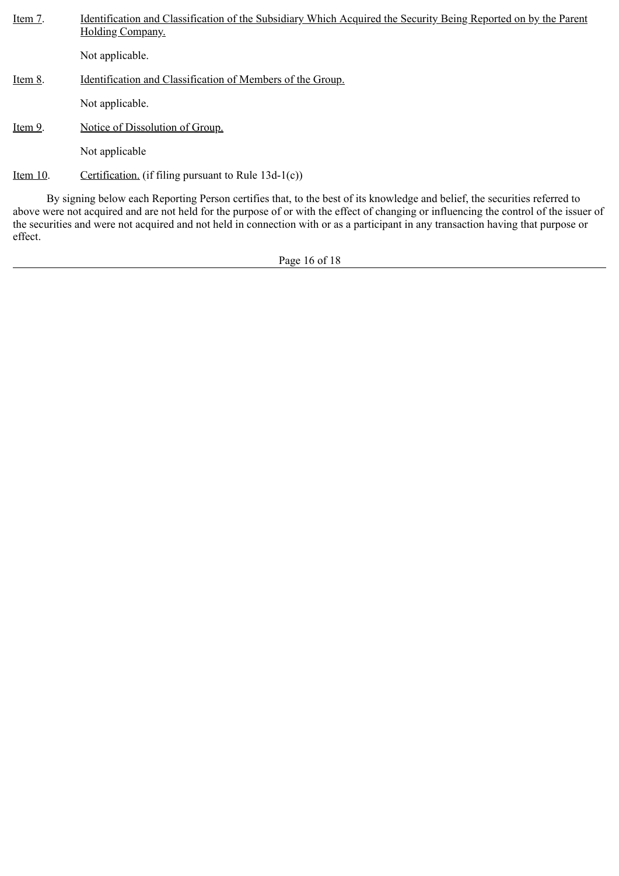| Item 7.  | <u>Identification and Classification of the Subsidiary Which Acquired the Security Being Reported on by the Parent</u><br>Holding Company.                                                                                                                           |
|----------|----------------------------------------------------------------------------------------------------------------------------------------------------------------------------------------------------------------------------------------------------------------------|
|          | Not applicable.                                                                                                                                                                                                                                                      |
| Item 8.  | Identification and Classification of Members of the Group.                                                                                                                                                                                                           |
|          | Not applicable.                                                                                                                                                                                                                                                      |
| Item 9.  | Notice of Dissolution of Group.                                                                                                                                                                                                                                      |
|          | Not applicable                                                                                                                                                                                                                                                       |
| Item 10. | Certification. (if filing pursuant to Rule $13d-1(c)$ )                                                                                                                                                                                                              |
|          | By signing below each Reporting Person certifies that, to the best of its knowledge and belief, the securities referred to<br>above were not acquired and are not held for the purpose of or with the effect of changing or influencing the control of the issuer of |

Page 16 of 18

the securities and were not acquired and not held in connection with or as a participant in any transaction having that purpose or

effect.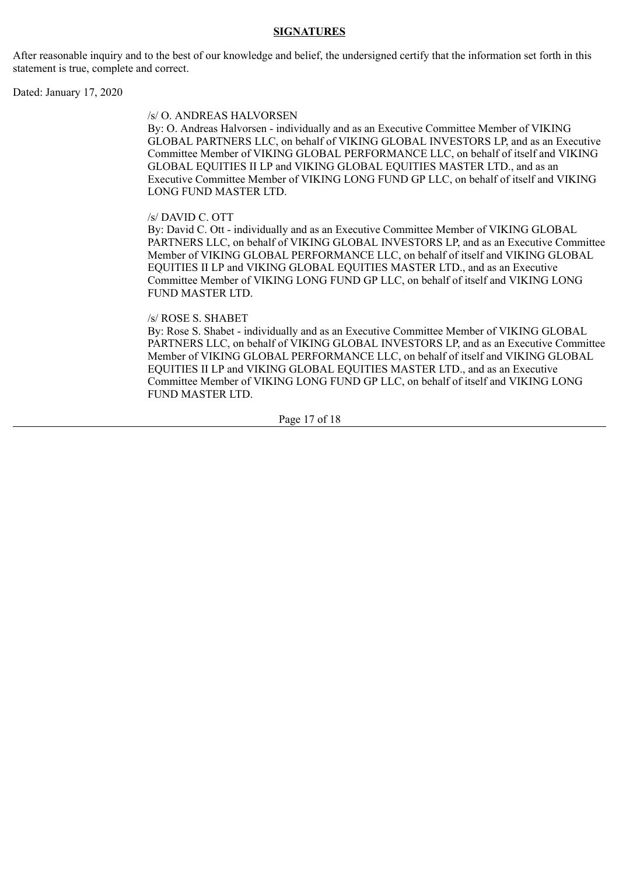### **SIGNATURES**

After reasonable inquiry and to the best of our knowledge and belief, the undersigned certify that the information set forth in this statement is true, complete and correct.

Dated: January 17, 2020

#### /s/ O. ANDREAS HALVORSEN

By: O. Andreas Halvorsen - individually and as an Executive Committee Member of VIKING GLOBAL PARTNERS LLC, on behalf of VIKING GLOBAL INVESTORS LP, and as an Executive Committee Member of VIKING GLOBAL PERFORMANCE LLC, on behalf of itself and VIKING GLOBAL EQUITIES II LP and VIKING GLOBAL EQUITIES MASTER LTD., and as an Executive Committee Member of VIKING LONG FUND GP LLC, on behalf of itself and VIKING LONG FUND MASTER LTD.

#### /s/ DAVID C. OTT

By: David C. Ott - individually and as an Executive Committee Member of VIKING GLOBAL PARTNERS LLC, on behalf of VIKING GLOBAL INVESTORS LP, and as an Executive Committee Member of VIKING GLOBAL PERFORMANCE LLC, on behalf of itself and VIKING GLOBAL EQUITIES II LP and VIKING GLOBAL EQUITIES MASTER LTD., and as an Executive Committee Member of VIKING LONG FUND GP LLC, on behalf of itself and VIKING LONG FUND MASTER LTD.

#### /s/ ROSE S. SHABET

By: Rose S. Shabet - individually and as an Executive Committee Member of VIKING GLOBAL PARTNERS LLC, on behalf of VIKING GLOBAL INVESTORS LP, and as an Executive Committee Member of VIKING GLOBAL PERFORMANCE LLC, on behalf of itself and VIKING GLOBAL EQUITIES II LP and VIKING GLOBAL EQUITIES MASTER LTD., and as an Executive Committee Member of VIKING LONG FUND GP LLC, on behalf of itself and VIKING LONG FUND MASTER LTD.

Page 17 of 18